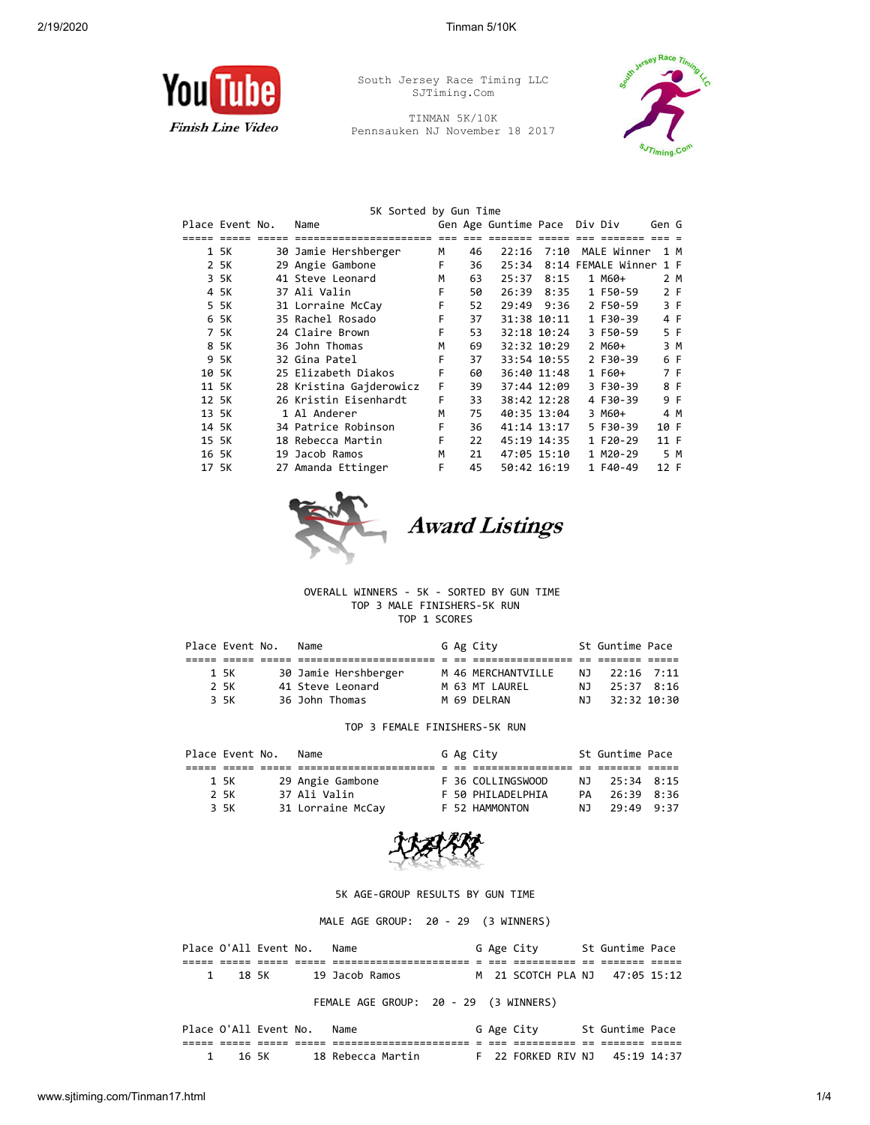

South Jersey Race Timing LLC SJTiming.Com

TINMAN 5K/10K Pennsauken NJ November 18 2017



 Place Event No. Name Gen Age Guntime Pace Div Div Gen G ===== ===== ===== ====================== === === ======= ===== === ======= === = 1 5K 30 Jamie Hershberger M 46 22:16 7:10 MALE Winner 1 M

5K Sorted by Gun Time

|       | 2 5K | 29 Angie Gambone        | F | 36 | 25:34       |      | 8:14 FEMALE Winner 1 F |      |  |
|-------|------|-------------------------|---|----|-------------|------|------------------------|------|--|
|       | 3 5K | 41 Steve Leonard        | м | 63 | 25:37       | 8:15 | $1$ M60+               | 2 M  |  |
|       | 4 5K | 37 Ali Valin            | F | 50 | 26:39       | 8:35 | 1 F50-59               | 2 F  |  |
|       | 5 5K | 31 Lorraine McCay       | F | 52 | 29:49       | 9:36 | 2 F50-59               | 3 F  |  |
|       | 6 5K | 35 Rachel Rosado        | F | 37 | 31:38 10:11 |      | 1 F30-39               | 4 F  |  |
|       | 7 5K | 24 Claire Brown         | F | 53 | 32:18 10:24 |      | 3 F50-59               | 5 F  |  |
|       | 8 5K | 36 John Thomas          | м | 69 | 32:32 10:29 |      | $2 M60+$               | 3 M  |  |
|       | 9 5K | 32 Gina Patel           | F | 37 | 33:54 10:55 |      | 2 F30-39               | 6 F  |  |
| 10 5K |      | 25 Elizabeth Diakos     | F | 60 | 36:40 11:48 |      | $1 F60+$               | 7 F  |  |
| 11 5K |      | 28 Kristina Gajderowicz | F | 39 | 37:44 12:09 |      | 3 F30-39               | 8 F  |  |
| 12 5K |      | 26 Kristin Eisenhardt   | F | 33 | 38:42 12:28 |      | 4 F30-39               | 9 F  |  |
| 13 5K |      | 1 Al Anderer            | M | 75 | 40:35 13:04 |      | 3 M60+                 | 4 M  |  |
| 14 5K |      | 34 Patrice Robinson     | F | 36 | 41:14 13:17 |      | 5 F30-39               | 10 F |  |
| 15 5K |      | 18 Rebecca Martin       | F | 22 | 45:19 14:35 |      | 1 F20-29               | 11 F |  |
| 16 5K |      | 19 Jacob Ramos          | M | 21 | 47:05 15:10 |      | 1 M20-29               | 5 M  |  |
| 17 5K |      | 27 Amanda Ettinger      | F | 45 | 50:42 16:19 |      | 1 F40-49               | 12 F |  |
|       |      |                         |   |    |             |      |                        |      |  |



**Award Listings** 

#### OVERALL WINNERS - 5K - SORTED BY GUN TIME TOP 3 MALE FINISHERS-5K RUN TOP 1 SCORES

| Place Event No. |      | Name                 |  | G Ag City          |     | St Guntime Pace |  |
|-----------------|------|----------------------|--|--------------------|-----|-----------------|--|
|                 |      |                      |  |                    |     |                 |  |
|                 | 1 5K | 30 Jamie Hershberger |  | M 46 MERCHANTVILLE |     | N1 22:16 7:11   |  |
|                 | 2 5K | 41 Steve Leonard     |  | M 63 MT LAUREL     | N T | 25:37 8:16      |  |
|                 | 3 5K | 36 John Thomas       |  | M 69 DELRAN        | NJ. | 32:32 10:30     |  |

### TOP 3 FEMALE FINISHERS-5K RUN

| Place Event No. |      | Name              |  | G Ag City         |     | St Guntime Pace |  |
|-----------------|------|-------------------|--|-------------------|-----|-----------------|--|
|                 |      |                   |  |                   |     |                 |  |
|                 | 1 5K | 29 Angie Gambone  |  | F 36 COLLINGSWOOD | N J | 25:34 8:15      |  |
|                 | 2 5K | 37 Ali Valin      |  | F 50 PHILADELPHIA | PA  | 26:39 8:36      |  |
|                 | 3 5K | 31 Lorraine McCay |  | F 52 HAMMONTON    | N T | $79:49$ $9:37$  |  |



5K AGE-GROUP RESULTS BY GUN TIME

MALE AGE GROUP: 20 - 29 (3 WINNERS)

| Place O'All Event No. |        | Name           |  | G Age City                     | St Guntime Pace |  |
|-----------------------|--------|----------------|--|--------------------------------|-----------------|--|
|                       |        |                |  |                                |                 |  |
|                       | 18. 5K | 19 Jacob Ramos |  | M 21 SCOTCH PLA NJ 47:05 15:12 |                 |  |

FEMALE AGE GROUP: 20 - 29 (3 WINNERS)

| Place O'All Event No. |       | Name              |  | G Age City                     | St Guntime Pace |  |
|-----------------------|-------|-------------------|--|--------------------------------|-----------------|--|
|                       |       |                   |  |                                |                 |  |
|                       | 16 5K | 18 Rebecca Martin |  | F 22 FORKED RIV NJ 45:19 14:37 |                 |  |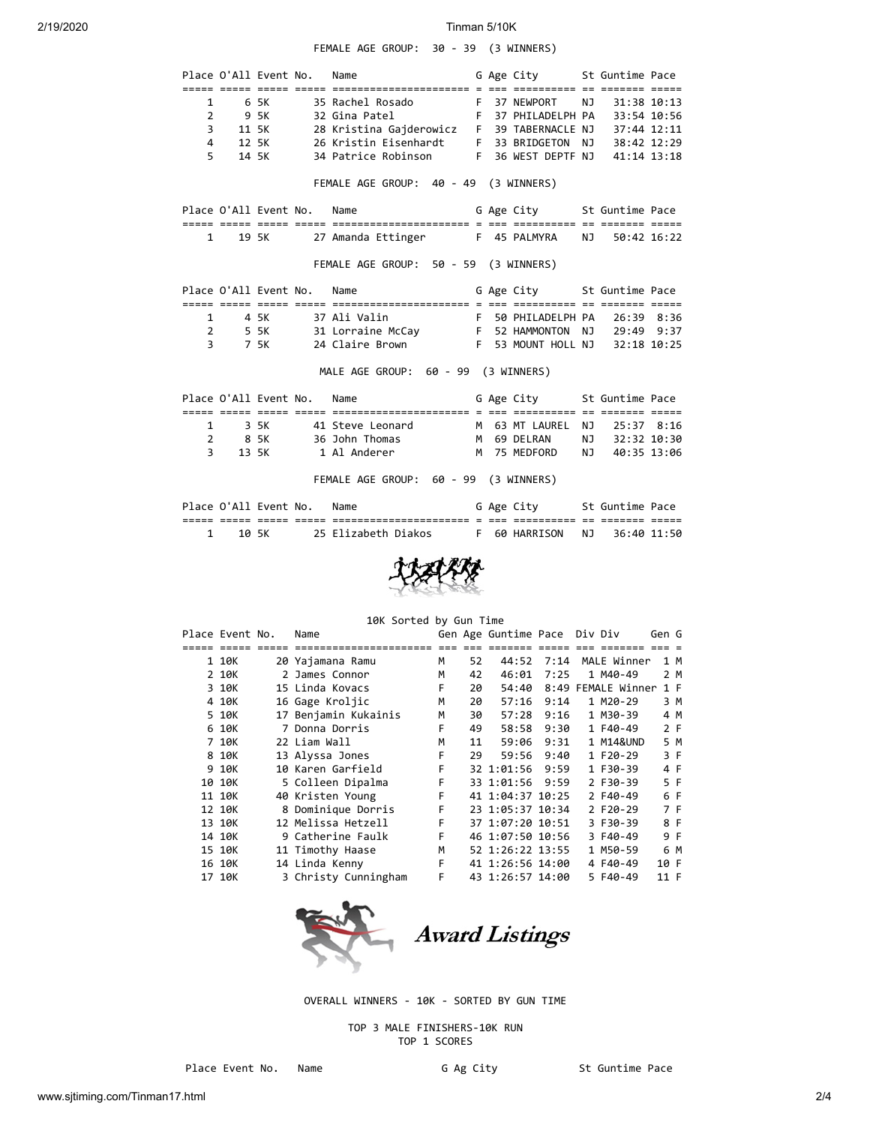FEMALE AGE GROUP: 30 - 39 (3 WINNERS)

|                | Place O'All Event No. |       |                            | Name                                                                                                                                        |  | G Age City 5t Guntime Pace         |     |                |  |
|----------------|-----------------------|-------|----------------------------|---------------------------------------------------------------------------------------------------------------------------------------------|--|------------------------------------|-----|----------------|--|
| $\mathbf{1}$   |                       | 6 5K  |                            | <u>soco soco coso coso cosocososososososos e so cosocoso e cososo seve</u><br>35 Rachel Rosado                                              |  | F 37 NEWPORT                       | NJ. | 31:38 10:13    |  |
| $\overline{2}$ |                       | 9 5K  |                            | F 37 PHILADELPH PA<br>32 Gina Patel                                                                                                         |  |                                    |     | 33:54 10:56    |  |
| $\overline{3}$ |                       | 11 5K |                            | 28 Kristina Gajderowicz   F  39 TABERNACLE NJ                                                                                               |  |                                    |     | 37:44 12:11    |  |
|                |                       |       |                            | 4 12 5K 26 Kristin Eisenhardt F 33 BRIDGETON NJ 38:42 12:29                                                                                 |  |                                    |     |                |  |
|                | $5^{\circ}$           | 14 5K |                            | 34 Patrice Robinson  F 36 WEST DEPTF NJ 41:14 13:18                                                                                         |  |                                    |     |                |  |
|                |                       |       |                            | FEMALE AGE GROUP: 40 - 49 (3 WINNERS)                                                                                                       |  |                                    |     |                |  |
|                |                       |       | Place O'All Event No. Name |                                                                                                                                             |  | G Age City         St Guntime Pace |     |                |  |
|                |                       |       |                            |                                                                                                                                             |  |                                    |     |                |  |
|                | $1 \quad$             |       |                            | 19 5K 27 Amanda Ettinger 6 F 45 PALMYRA NJ 50:42 16:22                                                                                      |  |                                    |     |                |  |
|                |                       |       |                            | FEMALE AGE GROUP: 50 - 59 (3 WINNERS)                                                                                                       |  |                                    |     |                |  |
|                |                       |       |                            | Place O'All Event No. Name G Age City 5t Guntime Pace<br>socco occup occup occup occupatorum coronamente o con occupatorum oc occupat occup |  |                                    |     |                |  |
|                | $1 \quad$             | 4 5K  |                            | F 50 PHILADELPH PA 26:39 8:36<br>37 Ali Valin                                                                                               |  |                                    |     |                |  |
|                |                       |       |                            |                                                                                                                                             |  |                                    |     |                |  |
|                |                       |       |                            | 2<br>2<br>2<br>5 5K 31 Lorraine McCay F 52 HAMMONTON NJ 29:49 9:37<br>3<br>7 5K 24 Claire Brown F 53 MOUNT HOLL NJ 32:18 10:25              |  |                                    |     |                |  |
|                |                       |       |                            | MALE AGE GROUP: 60 - 99 (3 WINNERS)                                                                                                         |  |                                    |     |                |  |
|                |                       |       | Place O'All Event No. Name |                                                                                                                                             |  | G Age City 5t Guntime Pace         |     |                |  |
|                |                       |       |                            | ooper ooper ooper ooper opprongenseerspekkender is den opprongene op opprong ooper                                                          |  |                                    |     |                |  |
|                |                       |       |                            | 1 3 5K 41 Steve Leonard M 63 MT LAUREL NJ 25:37 8:16                                                                                        |  |                                    |     |                |  |
|                | 2 8 5 K               |       |                            | 36 John Thomas M 69 DELRAN                                                                                                                  |  |                                    |     | NJ 32:32 10:30 |  |
|                | $\overline{3}$        | 13 5K |                            | 1 Al Anderer                                                                                                                                |  | M 75 MEDFORD                       |     | NJ 40:35 13:06 |  |
|                |                       |       |                            | FEMALE AGE GROUP: 60 - 99 (3 WINNERS)                                                                                                       |  |                                    |     |                |  |
|                |                       |       |                            | Place O'All Event No. Name The South G Age City St Guntime Pace                                                                             |  |                                    |     |                |  |
|                |                       |       |                            |                                                                                                                                             |  |                                    |     |                |  |
| $\mathbf{1}$   |                       | 10 5K |                            | 25 Elizabeth Diakos F 60 HARRISON                                                                                                           |  |                                    | NJ  | 36:40 11:50    |  |
|                |                       |       |                            |                                                                                                                                             |  |                                    |     |                |  |



10K Sorted by Gun Time

|  | Place Event No. | Name                 |   |    | Gen Age Guntime Pace Div Div |      |                    | Gen G |     |
|--|-----------------|----------------------|---|----|------------------------------|------|--------------------|-------|-----|
|  |                 |                      |   |    |                              |      |                    |       |     |
|  | 1 10K           | 20 Yajamana Ramu     | м | 52 | 44:52                        | 7:14 | MALE Winner        |       | 1 M |
|  | 2 10K           | 2 James Connor       | м | 42 | 46:01                        | 7:25 | 1 M40-49           |       | 2 M |
|  | 3 10K           | 15 Linda Kovacs      | F | 20 | 54:40                        |      | 8:49 FEMALE Winner | 1 F   |     |
|  | 4 10K           | 16 Gage Kroljic      | М | 20 | 57:16                        | 9:14 | 1 M20-29           |       | 3 M |
|  | 5 10K           | 17 Benjamin Kukainis | M | 30 | 57:28                        | 9:16 | 1 M30-39           |       | 4 M |
|  | 6 10K           | 7 Donna Dorris       | F | 49 | 58:58                        | 9:30 | 1 F40-49           |       | 2 F |
|  | 7 10K           | 22 Liam Wall         | м | 11 | 59:06                        | 9:31 | 1 M14&UND          |       | 5 M |
|  | 8 10K           | 13 Alyssa Jones      | F | 29 | 59:56                        | 9:40 | 1 F20-29           |       | 3 F |
|  | 9 10K           | 10 Karen Garfield    | F |    | 32 1:01:56                   | 9:59 | 1 F30-39           |       | 4 F |
|  | 10 10K          | 5 Colleen Dipalma    | F |    | 33 1:01:56 9:59              |      | 2 F30-39           |       | 5 F |
|  | 11 10K          | 40 Kristen Young     | F |    | 41 1:04:37 10:25             |      | 2 F40-49           |       | 6 F |
|  | 12 10K          | 8 Dominique Dorris   | F |    | 23 1:05:37 10:34             |      | 2 F20-29           |       | 7 F |
|  | 13 10K          | 12 Melissa Hetzell   | F |    | 37 1:07:20 10:51             |      | 3 F30-39           |       | 8 F |
|  | 14 10K          | 9 Catherine Faulk    | F |    | 46 1:07:50 10:56             |      | 3 F40-49           | 9 F   |     |
|  | 15 10K          | 11 Timothy Haase     | M |    | 52 1:26:22 13:55             |      | 1 M50-59           |       | 6 M |
|  | 16 10K          | 14 Linda Kenny       | F |    | 41 1:26:56 14:00             |      | 4 F40-49           | 10 F  |     |
|  | 17 10K          | 3 Christy Cunningham | F |    | 43 1:26:57 14:00             |      | 5 F40-49           | 11 F  |     |
|  |                 |                      |   |    |                              |      |                    |       |     |



**Award Listings** 

OVERALL WINNERS - 10K - SORTED BY GUN TIME

TOP 3 MALE FINISHERS-10K RUN TOP 1 SCORES

Place Event No. Name State G Ag City St Guntime Pace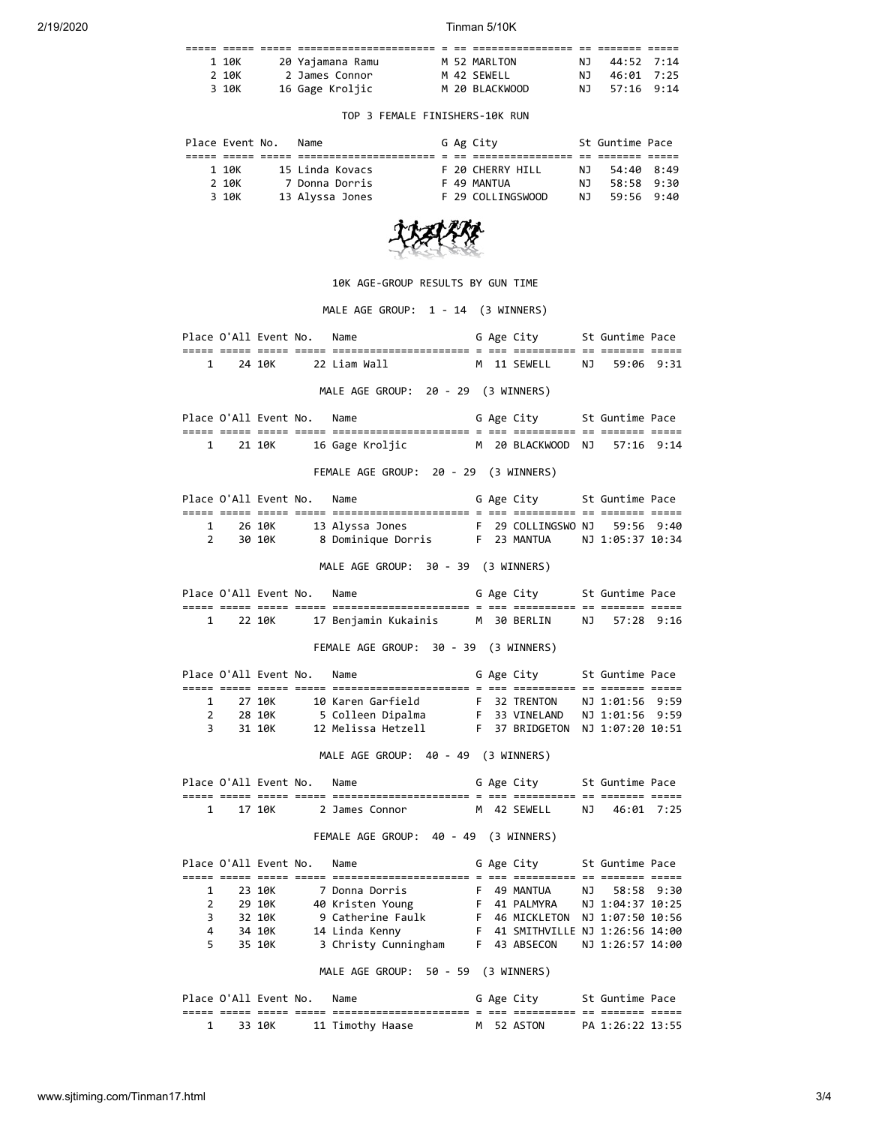| 1 10K | 20 Yajamana Ramu |  | M 52 MARLTON   | NJ  | 44:52 7:14 |  |
|-------|------------------|--|----------------|-----|------------|--|
| 2 10K | 2 James Connor   |  | M 42 SEWELL    | NJ. | 46:01 7:25 |  |
| 3 10K | 16 Gage Kroljic  |  | M 20 BLACKWOOD | NJ. | 57:16 9:14 |  |

### TOP 3 FEMALE FINISHERS-10K RUN

| Place Event No. |       | Name            |  | G Ag City         |     | St Guntime Pace |  |
|-----------------|-------|-----------------|--|-------------------|-----|-----------------|--|
|                 |       |                 |  |                   |     |                 |  |
|                 | 1 10K | 15 Linda Kovacs |  | F 20 CHERRY HILL  | NJ. | 54:40 8:49      |  |
|                 | 2 10K | 7 Donna Dorris  |  | F 49 MANTUA       | NJ. | 58:58 9:30      |  |
|                 | 3 10K | 13 Alyssa Jones |  | F 29 COLLINGSWOOD | NJ. | $59:56$ $9:40$  |  |



# 10K AGE-GROUP RESULTS BY GUN TIME

MALE AGE GROUP: 1 - 14 (3 WINNERS)

| Place O'All Event No. Name |        |                                     |  | G Age City                | St Guntime Pace |  |
|----------------------------|--------|-------------------------------------|--|---------------------------|-----------------|--|
|                            |        |                                     |  |                           |                 |  |
| $\mathbf{1}$               | 24 10K | 22 Liam Wall                        |  | M 11 SEWELL NJ 59:06 9:31 |                 |  |
|                            |        | MALE AGE GROUP: 20 - 29 (3 WINNERS) |  |                           |                 |  |

| Place O'All Event No. |        | Name            |  | G Age City                   | St Guntime Pace |  |
|-----------------------|--------|-----------------|--|------------------------------|-----------------|--|
|                       |        |                 |  |                              |                 |  |
|                       | 21 10K | 16 Gage Kroljic |  | M 20 BLACKWOOD NJ 57:16 9:14 |                 |  |

# FEMALE AGE GROUP: 20 - 29 (3 WINNERS)

| Place O'All Event No. |        | Name               |  | G Age City                    | St Guntime Pace  |  |
|-----------------------|--------|--------------------|--|-------------------------------|------------------|--|
|                       |        |                    |  |                               |                  |  |
|                       | 26 10K | 13 Alyssa Jones    |  | F 29 COLLINGSWO NJ 59:56 9:40 |                  |  |
|                       | 30 10K | 8 Dominique Dorris |  | F 23 MANTUA                   | NJ 1:05:37 10:34 |  |

MALE AGE GROUP: 30 - 39 (3 WINNERS)

| Place O'All Event No. |          |  | Name                 |  | G Age City  | St Guntime Pace |  |
|-----------------------|----------|--|----------------------|--|-------------|-----------------|--|
|                       |          |  |                      |  |             |                 |  |
|                       | 1 22 10K |  | 17 Benjamin Kukainis |  | M 30 BERLIN | NJ 57:28 9:16   |  |

FEMALE AGE GROUP: 30 - 39 (3 WINNERS)

|               | Place O'All Event No. | Name               |  | G Age City                      | St Guntime Pace |  |
|---------------|-----------------------|--------------------|--|---------------------------------|-----------------|--|
|               |                       |                    |  |                                 |                 |  |
| 1             | 27 10K                | 10 Karen Garfield  |  | F 32 TRENTON                    | N1 1:01:56 9:59 |  |
| $\mathcal{P}$ | 28 10K                | 5 Colleen Dipalma  |  | F 33 VINELAND                   | NJ 1:01:56 9:59 |  |
| 3             | 31 10K                | 12 Melissa Hetzell |  | F 37 BRIDGETON NJ 1:07:20 10:51 |                 |  |

MALE AGE GROUP: 40 - 49 (3 WINNERS)

|  | Place O'All Event No. | Name           |  | G Age City  |     | St Guntime Pace |  |
|--|-----------------------|----------------|--|-------------|-----|-----------------|--|
|  |                       |                |  |             |     |                 |  |
|  | 17 10K                | 2 James Connor |  | M 42 SFMFII | NJ. | 46:01 7:25      |  |

# FEMALE AGE GROUP: 40 - 49 (3 WINNERS)

| Place O'All Event No. |                                     |        |  | Name                 |    |  | G Age City                     |     | St Guntime Pace  |  |
|-----------------------|-------------------------------------|--------|--|----------------------|----|--|--------------------------------|-----|------------------|--|
|                       |                                     |        |  |                      |    |  |                                |     |                  |  |
| 1                     |                                     | 23 10K |  | 7 Donna Dorris       | F. |  | 49 MANTUA                      | NJ. | 58:58 9:30       |  |
| 2                     |                                     | 29 10K |  | 40 Kristen Young     |    |  | 41 PALMYRA                     |     | NJ 1:04:37 10:25 |  |
| 3                     |                                     | 32 10K |  | 9 Catherine Faulk    |    |  | 46 MICKLETON                   |     | NJ 1:07:50 10:56 |  |
| 4                     |                                     | 34 10K |  | 14 Linda Kenny       | F  |  | 41 SMITHVILLE NJ 1:26:56 14:00 |     |                  |  |
| 5.                    |                                     | 35 10K |  | 3 Christy Cunningham | F. |  | 43 ABSECON                     |     | NJ 1:26:57 14:00 |  |
|                       | MALE AGE GROUP: 50 - 59 (3 WINNERS) |        |  |                      |    |  |                                |     |                  |  |
| Place O'All Event No. |                                     |        |  | Name                 |    |  | G Age City                     |     | St Guntime Pace  |  |
|                       |                                     |        |  |                      |    |  |                                |     |                  |  |
| 1                     |                                     | 33 10K |  | 11 Timothy Haase     | M  |  | 52 ASTON                       |     | PA 1:26:22 13:55 |  |